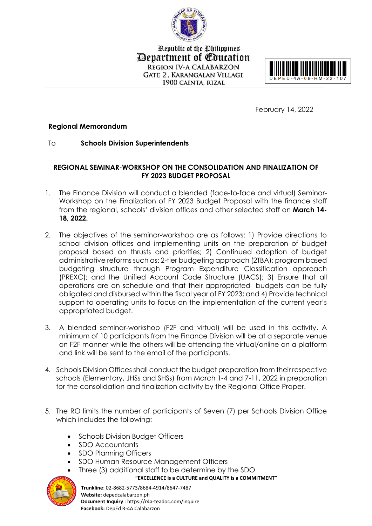

Republic of the Philippines *Department of Education* **REGION IV-A CALABARZON GATE 2. KARANGALAN VILLAGE** 1900 CAINTA, RIZAL



February 14, 2022

## **Regional Memorandum**

To **Schools Division Superintendents**

## **REGIONAL SEMINAR-WORKSHOP ON THE CONSOLIDATION AND FINALIZATION OF FY 2023 BUDGET PROPOSAL**

- 1. The Finance Division will conduct a blended (face-to-face and virtual) Seminar-Workshop on the Finalization of FY 2023 Budget Proposal with the finance staff from the regional, schools' division offices and other selected staff on **March 14- 18, 2022.**
- 2. The objectives of the seminar-workshop are as follows: 1) Provide directions to school division offices and implementing units on the preparation of budget proposal based on thrusts and priorities; 2) Continued adoption of budget administrative reforms such as: 2-tier budgeting approach (2TBA); program based budgeting structure through Program Expenditure Classification approach (PREXC); and the Unified Account Code Structure (UACS); 3) Ensure that all operations are on schedule and that their appropriated budgets can be fully obligated and disbursed within the fiscal year of FY 2023; and 4) Provide technical support to operating units to focus on the implementation of the current year's appropriated budget.
- 3. A blended seminar-workshop (F2F and virtual) will be used in this activity. A minimum of 10 participants from the Finance Division will be at a separate venue on F2F manner while the others will be attending the virtual/online on a platform and link will be sent to the email of the participants.
- 4. Schools Division Offices shall conduct the budget preparation from their respective schools (Elementary, JHSs and SHSs) from March 1-4 and 7-11, 2022 in preparation for the consolidation and finalization activity by the Regional Office Proper.
- 5. The RO limits the number of participants of Seven (7) per Schools Division Office which includes the following:
	- Schools Division Budget Officers
	- SDO Accountants
	- SDO Planning Officers

**Facebook:** DepEd R-4A Calabarzon

SDO Human Resource Management Officers



 **"EXCELLENCE is a CULTURE and QUALITY is a COMMITMENT" Trunkline**: 02-8682-5773/8684-4914/8647-7487 **Website:** depedcalabarzon.ph **Document Inquiry** : https://r4a-teadoc.com/inquire